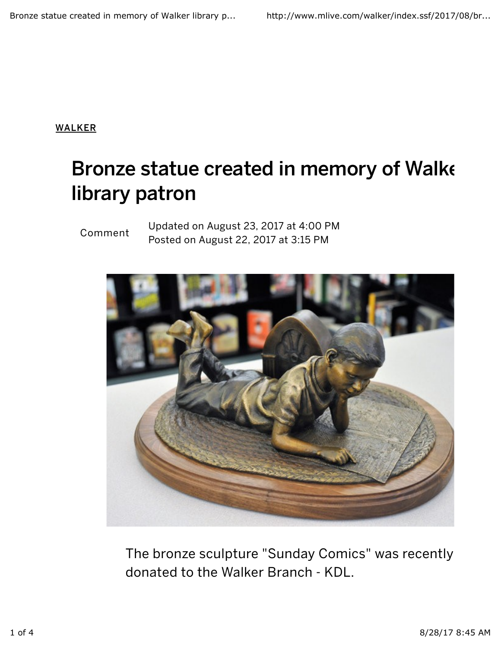WALKER

## Bronze statue created in memory of Walker library patron

## Comment

Updated on August 23, 2017 at 4:00 PM Posted on August 22, 2017 at 3:15 PM



The bronze sculpture "Sunday Comics" was recently donated to the Walker Branch - KDL.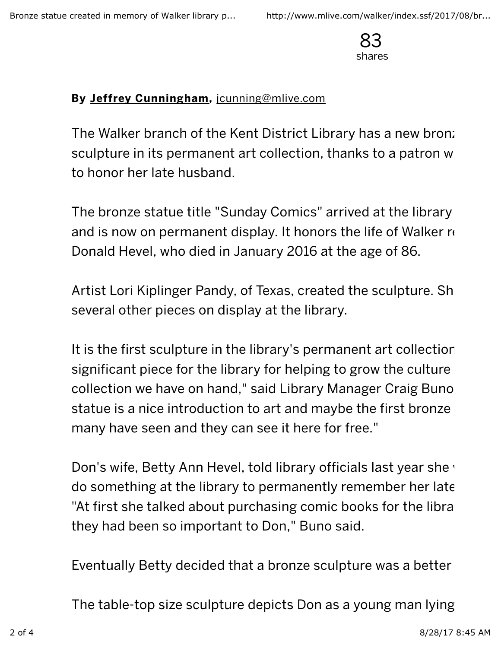

## By Jeffrey Cunningham, jcunning@mlive.com

The Walker branch of the Kent District Library has a new bronze sculpture in its permanent art collection, thanks to a patron w to honor her late husband.

The bronze statue title "Sunday Comics" arrived at the library and is now on permanent display. It honors the life of Walker  $\alpha$ Donald Hevel, who died in January 2016 at the age of 86.

Artist Lori Kiplinger Pandy, of Texas, created the sculpture. She several other pieces on display at the library.

It is the first sculpture in the library's permanent art collection. significant piece for the library for helping to grow the culture collection we have on hand," said Library Manager Craig Buno. statue is a nice introduction to art and maybe the first bronze many have seen and they can see it here for free."

Don's wife, Betty Ann Hevel, told library officials last year she v do something at the library to permanently remember her late. "At first she talked about purchasing comic books for the libra they had been so important to Don," Buno said.

Eventually Betty decided that a bronze sculpture was a better

The table-top size sculpture depicts Don as a young man lying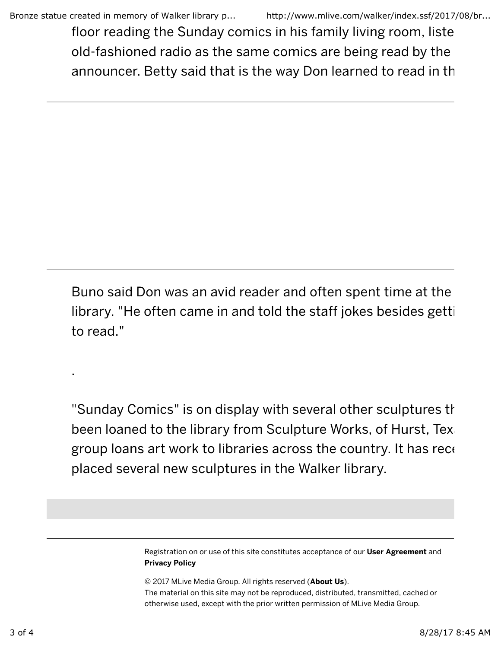floor reading the Sunday comics in his family living room, liste old-fashioned radio as the same comics are being read by the announcer. Betty said that is the way Don learned to read in the

Buno said Don was an avid reader and often spent time at the library. "He often came in and told the staff jokes besides getting to read."

"Sunday Comics" is on display with several other sculptures that been loaned to the library from Sculpture Works, of Hurst, Tex. group loans art work to libraries across the country. It has recently placed several new sculptures in the Walker library.

> Registration on or use of this site constitutes acceptance of our User Agreement and Privacy Policy

© 2017 MLive Media Group. All rights reserved (About Us). The material on this site may not be reproduced, distributed, transmitted, cached or otherwise used, except with the prior written permission of MLive Media Group.

.